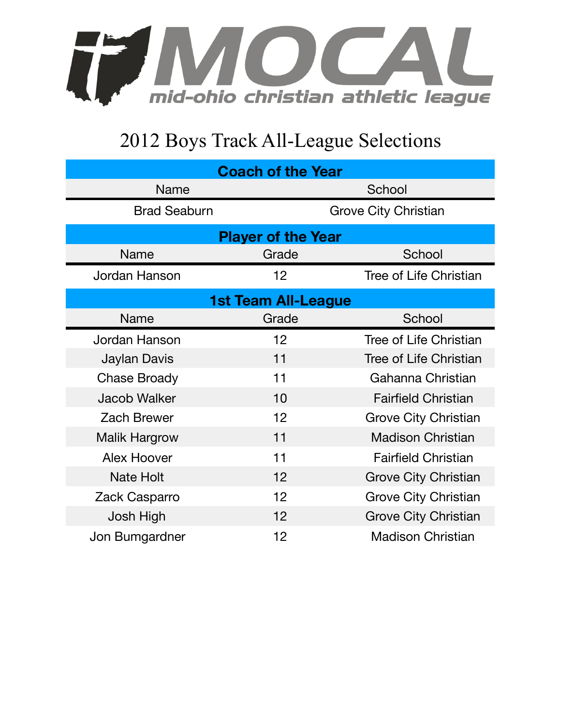

## 2012 Boys Track All-League Selections

| <b>Coach of the Year</b>   |                             |                               |  |  |
|----------------------------|-----------------------------|-------------------------------|--|--|
| Name                       |                             | School                        |  |  |
| <b>Brad Seaburn</b>        | <b>Grove City Christian</b> |                               |  |  |
| <b>Player of the Year</b>  |                             |                               |  |  |
| <b>Name</b>                | Grade                       | School                        |  |  |
| Jordan Hanson              | 12                          | <b>Tree of Life Christian</b> |  |  |
| <b>1st Team All-League</b> |                             |                               |  |  |
| <b>Name</b>                | Grade                       | School                        |  |  |
| Jordan Hanson              | 12                          | Tree of Life Christian        |  |  |
| Jaylan Davis               | 11                          | <b>Tree of Life Christian</b> |  |  |
| <b>Chase Broady</b>        | 11                          | Gahanna Christian             |  |  |
| <b>Jacob Walker</b>        | 10                          | <b>Fairfield Christian</b>    |  |  |
| <b>Zach Brewer</b>         | 12                          | <b>Grove City Christian</b>   |  |  |
| <b>Malik Hargrow</b>       | 11                          | <b>Madison Christian</b>      |  |  |
| <b>Alex Hoover</b>         | 11                          | <b>Fairfield Christian</b>    |  |  |
| <b>Nate Holt</b>           | 12                          | <b>Grove City Christian</b>   |  |  |
| Zack Casparro              | 12                          | <b>Grove City Christian</b>   |  |  |
| Josh High                  | 12                          | <b>Grove City Christian</b>   |  |  |
| Jon Bumgardner             | 12                          | <b>Madison Christian</b>      |  |  |